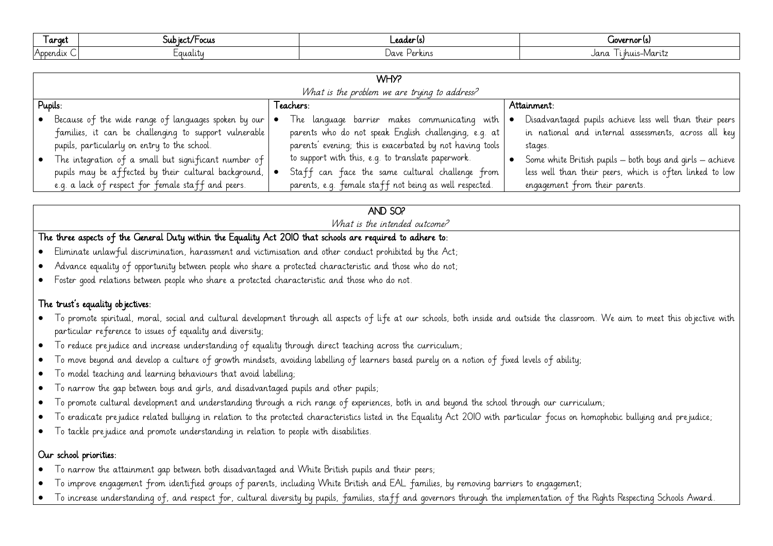| ı arget  | 'Focus<br>JUD IEC<br>שני | _eader\s}         | (uovernor (s        |
|----------|--------------------------|-------------------|---------------------|
| Appendix | -qualiti                 | Jave '<br>Perkins | Jana<br>ruis–Maritz |

| WHY?<br>What is the problem we are trying to address? |                                                                                                                                                                               |           |                                                                                                                                                                     |             |                                                                                                                                                                 |  |  |  |  |
|-------------------------------------------------------|-------------------------------------------------------------------------------------------------------------------------------------------------------------------------------|-----------|---------------------------------------------------------------------------------------------------------------------------------------------------------------------|-------------|-----------------------------------------------------------------------------------------------------------------------------------------------------------------|--|--|--|--|
| Pupils:                                               |                                                                                                                                                                               | Teachers: |                                                                                                                                                                     | Attainment: |                                                                                                                                                                 |  |  |  |  |
|                                                       | • Because of the wide range of languages spoken by our $  \bullet  $<br>families, it can be challenging to support vulnerable<br>pupils, particularly on entry to the school. |           | The language barrier makes communicating with<br>parents who do not speak English challenging, e.g. at<br>parents' evening; this is exacerbated by not having tools |             | Disadvantaged pupils achieve less well than their peers<br>in national and internal assessments, across all key<br>stages.                                      |  |  |  |  |
|                                                       | The integration of a small but significant number of<br>pupils may be affected by their cultural background,  <br>e.g. a lack of respect for female staff and peers.          |           | to support with this, e.g. to translate paperwork.<br>Staff can face the same cultural challenge from<br>parents, e.g. female staff not being as well respected.    |             | Some white British pupils $-$ both boys and girls $-$ achieve  <br>less well than their peers, which is often linked to low  <br>engagement from their parents. |  |  |  |  |

## AND SO?

What is the intended outcome?

## The three aspects of the General Duty within the Equality Act 2010 that schools are required to adhere to:

- Eliminate unlawful discrimination, harassment and victimisation and other conduct prohibited by the Act;
- Advance equality of opportunity between people who share a protected characteristic and those who do not;
- Foster good relations between people who share a protected characteristic and those who do not.

## The trust's equality objectives:

- To promote spiritual, moral, social and cultural development through all aspects of life at our schools, both inside and outside the classroom. We aim to meet this objective with particular reference to issues of equality and diversity;
- To reduce prejudice and increase understanding of equality through direct teaching across the curriculum;
- To move beyond and develop a culture of growth mindsets, avoiding labelling of learners based purely on a notion of fixed levels of ability;
- To model teaching and learning behaviours that avoid labelling;
- To narrow the gap between boys and girls, and disadvantaged pupils and other pupils;
- To promote cultural development and understanding through a rich range of experiences, both in and beyond the school through our curriculum;
- To eradicate prejudice related bullying in relation to the protected characteristics listed in the Equality Act 2010 with particular focus on homophobic bullying and prejudice;
- To tackle prejudice and promote understanding in relation to people with disabilities.

## Our school priorities:

- To narrow the attainment gap between both disadvantaged and White British pupils and their peers;
- To improve engagement from identified groups of parents, including White British and EAL families, by removing barriers to engagement;
- To increase understanding of, and respect for, cultural diversity by pupils, families, staff and governors through the implementation of the Rights Respecting Schools Award.